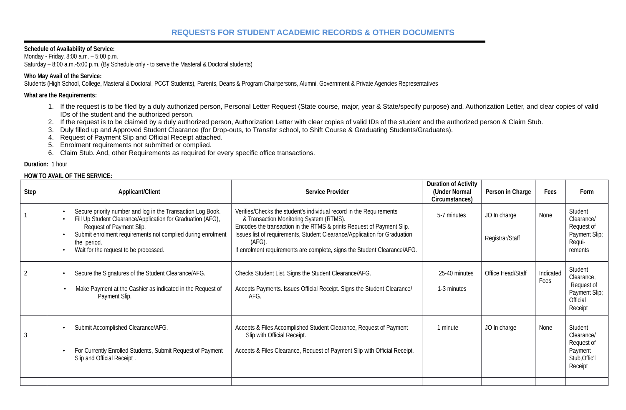# **REQUESTS FOR STUDENT ACADEMIC RECORDS & OTHER DOCUMENTS**

## **Schedule of Availability of Service:**

Monday - Friday, 8:00 a.m. – 5:00 p.m. Saturday – 8:00 a.m.-5:00 p.m. (By Schedule only - to serve the Masteral & Doctoral students)

## **Who May Avail of the Service:**

Students (High School, College, Masteral & Doctoral, PCCT Students), Parents, Deans & Program Chairpersons, Alumni, Government & Private Agencies Representatives

# **What are the Requirements:**

- 1. If the request is to be filed by a duly authorized person, Personal Letter Request (State course, major, year & State/specify purpose) and, Authorization Letter, and clear copies of valid IDs of the student and the authorized person.
- 2. If the request is to be claimed by a duly authorized person, Authorization Letter with clear copies of valid IDs of the student and the authorized person & Claim Stub.
- 3. Duly filled up and Approved Student Clearance (for Drop-outs, to Transfer school, to Shift Course & Graduating Students/Graduates).
- 4. Request of Payment Slip and Official Receipt attached.
- 5. Enrolment requirements not submitted or complied.
- 6. Claim Stub. And, other Requirements as required for every specific office transactions.

### **Duration:** 1 hour

#### **HOW TO AVAIL OF THE SERVICE:**

| <b>Step</b>    | <b>Applicant/Client</b>                                                                                                                                                                                                                                                       | <b>Service Provider</b>                                                                                                                                                                                                                                                                                                                                       | <b>Duration of Activity</b><br>(Under Normal<br>Circumstances) | Person in Charge                | <b>Fees</b>       | Form                                                                        |
|----------------|-------------------------------------------------------------------------------------------------------------------------------------------------------------------------------------------------------------------------------------------------------------------------------|---------------------------------------------------------------------------------------------------------------------------------------------------------------------------------------------------------------------------------------------------------------------------------------------------------------------------------------------------------------|----------------------------------------------------------------|---------------------------------|-------------------|-----------------------------------------------------------------------------|
| $\mathbf{1}$   | Secure priority number and log in the Transaction Log Book.<br>Fill Up Student Clearance/Application for Graduation (AFG),<br>Request of Payment Slip.<br>Submit enrolment requirements not complied during enrolment<br>the period.<br>Wait for the request to be processed. | Verifies/Checks the student's individual record in the Requirements<br>& Transaction Monitoring System (RTMS).<br>Encodes the transaction in the RTMS & prints Request of Payment Slip.<br>Issues list of requirements, Student Clearance/Application for Graduation<br>$(AFG)$ .<br>If enrolment requirements are complete, signs the Student Clearance/AFG. | 5-7 minutes                                                    | JO In charge<br>Registrar/Staff | None              | Student<br>Clearance/<br>Request of<br>Payment Slip;<br>Requi-<br>rements   |
| $\overline{2}$ | Secure the Signatures of the Student Clearance/AFG.<br>Make Payment at the Cashier as indicated in the Request of<br>$\bullet$<br>Payment Slip.                                                                                                                               | Checks Student List. Signs the Student Clearance/AFG.<br>Accepts Payments. Issues Official Receipt. Signs the Student Clearance/<br>AFG.                                                                                                                                                                                                                      | 25-40 minutes<br>1-3 minutes                                   | Office Head/Staff               | Indicated<br>Fees | Student<br>Clearance,<br>Request of<br>Payment Slip;<br>Official<br>Receipt |
| 3              | Submit Accomplished Clearance/AFG.<br>For Currently Enrolled Students, Submit Request of Payment<br>Slip and Official Receipt.                                                                                                                                                | Accepts & Files Accomplished Student Clearance, Request of Payment<br>Slip with Official Receipt.<br>Accepts & Files Clearance, Request of Payment Slip with Official Receipt.                                                                                                                                                                                | 1 minute                                                       | JO In charge                    | None              | Student<br>Clearance/<br>Request of<br>Payment<br>Stub, Offic'l<br>Receipt  |
|                |                                                                                                                                                                                                                                                                               |                                                                                                                                                                                                                                                                                                                                                               |                                                                |                                 |                   |                                                                             |